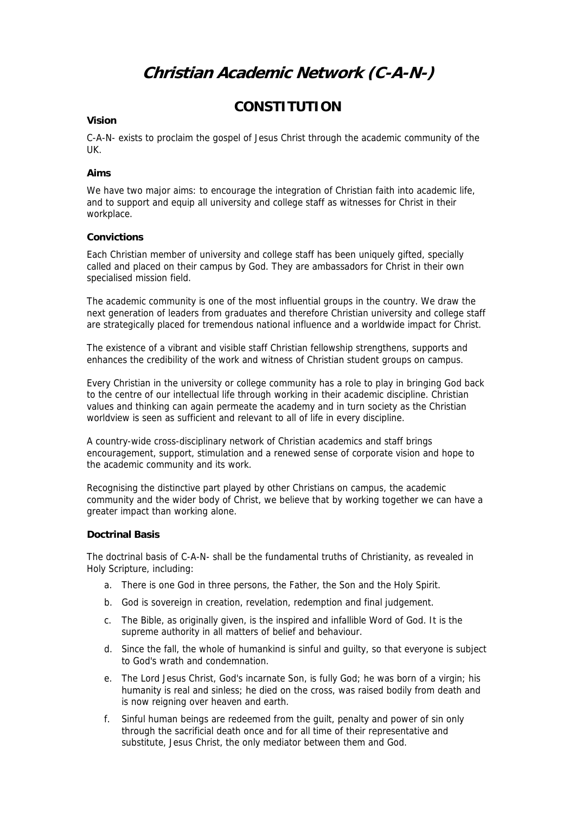# **Christian Academic Network (C-A-N-)**

# **CONSTITUTION**

### **Vision**

C-A-N- exists to proclaim the gospel of Jesus Christ through the academic community of the UK.

### **Aims**

We have two major aims: to encourage the integration of Christian faith into academic life, and to support and equip all university and college staff as witnesses for Christ in their workplace.

### **Convictions**

Each Christian member of university and college staff has been uniquely gifted, specially called and placed on their campus by God. They are ambassadors for Christ in their own specialised mission field.

The academic community is one of the most influential groups in the country. We draw the next generation of leaders from graduates and therefore Christian university and college staff are strategically placed for tremendous national influence and a worldwide impact for Christ.

The existence of a vibrant and visible staff Christian fellowship strengthens, supports and enhances the credibility of the work and witness of Christian student groups on campus.

Every Christian in the university or college community has a role to play in bringing God back to the centre of our intellectual life through working in their academic discipline. Christian values and thinking can again permeate the academy and in turn society as the Christian worldview is seen as sufficient and relevant to all of life in every discipline.

A country-wide cross-disciplinary network of Christian academics and staff brings encouragement, support, stimulation and a renewed sense of corporate vision and hope to the academic community and its work.

Recognising the distinctive part played by other Christians on campus, the academic community and the wider body of Christ, we believe that by working together we can have a greater impact than working alone.

# **Doctrinal Basis**

The doctrinal basis of C-A-N- shall be the fundamental truths of Christianity, as revealed in Holy Scripture, including:

- a. There is one God in three persons, the Father, the Son and the Holy Spirit.
- b. God is sovereign in creation, revelation, redemption and final judgement.
- c. The Bible, as originally given, is the inspired and infallible Word of God. It is the supreme authority in all matters of belief and behaviour.
- d. Since the fall, the whole of humankind is sinful and guilty, so that everyone is subject to God's wrath and condemnation.
- e. The Lord Jesus Christ, God's incarnate Son, is fully God; he was born of a virgin; his humanity is real and sinless; he died on the cross, was raised bodily from death and is now reigning over heaven and earth.
- f. Sinful human beings are redeemed from the guilt, penalty and power of sin only through the sacrificial death once and for all time of their representative and substitute, Jesus Christ, the only mediator between them and God.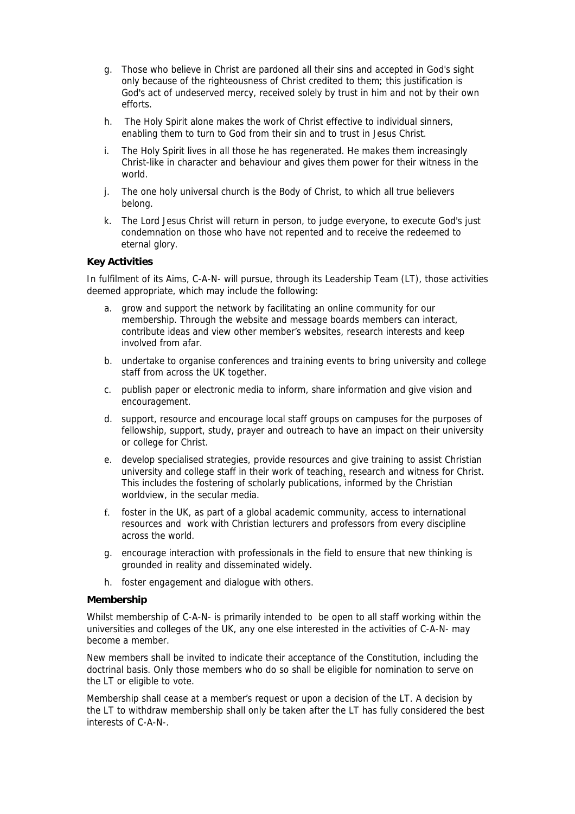- g. Those who believe in Christ are pardoned all their sins and accepted in God's sight only because of the righteousness of Christ credited to them; this justification is God's act of undeserved mercy, received solely by trust in him and not by their own efforts.
- h. The Holy Spirit alone makes the work of Christ effective to individual sinners, enabling them to turn to God from their sin and to trust in Jesus Christ.
- i. The Holy Spirit lives in all those he has regenerated. He makes them increasingly Christ-like in character and behaviour and gives them power for their witness in the world.
- j. The one holy universal church is the Body of Christ, to which all true believers belong.
- k. The Lord Jesus Christ will return in person, to judge everyone, to execute God's just condemnation on those who have not repented and to receive the redeemed to eternal glory.

# **Key Activities**

In fulfilment of its Aims, C-A-N- will pursue, through its Leadership Team (LT), those activities deemed appropriate, which may include the following:

- a. grow and support the network by facilitating an online community for our membership. Through the website and message boards members can interact, contribute ideas and view other member's websites, research interests and keep involved from afar.
- b. undertake to organise conferences and training events to bring university and college staff from across the UK together.
- c. publish paper or electronic media to inform, share information and give vision and encouragement.
- d. support, resource and encourage local staff groups on campuses for the purposes of fellowship, support, study, prayer and outreach to have an impact on their university or college for Christ.
- e. develop specialised strategies, provide resources and give training to assist Christian university and college staff in their work of teaching, research and witness for Christ. This includes the fostering of scholarly publications, informed by the Christian worldview, in the secular media.
- f. foster in the UK, as part of a global academic community, access to international resources and work with Christian lecturers and professors from every discipline across the world.
- g. encourage interaction with professionals in the field to ensure that new thinking is grounded in reality and disseminated widely.
- h. foster engagement and dialogue with others.

#### **Membership**

Whilst membership of C-A-N- is primarily intended to be open to all staff working within the universities and colleges of the UK, any one else interested in the activities of C-A-N- may become a member.

New members shall be invited to indicate their acceptance of the Constitution, including the doctrinal basis. Only those members who do so shall be eligible for nomination to serve on the LT or eligible to vote.

Membership shall cease at a member's request or upon a decision of the LT. A decision by the LT to withdraw membership shall only be taken after the LT has fully considered the best interests of C-A-N-.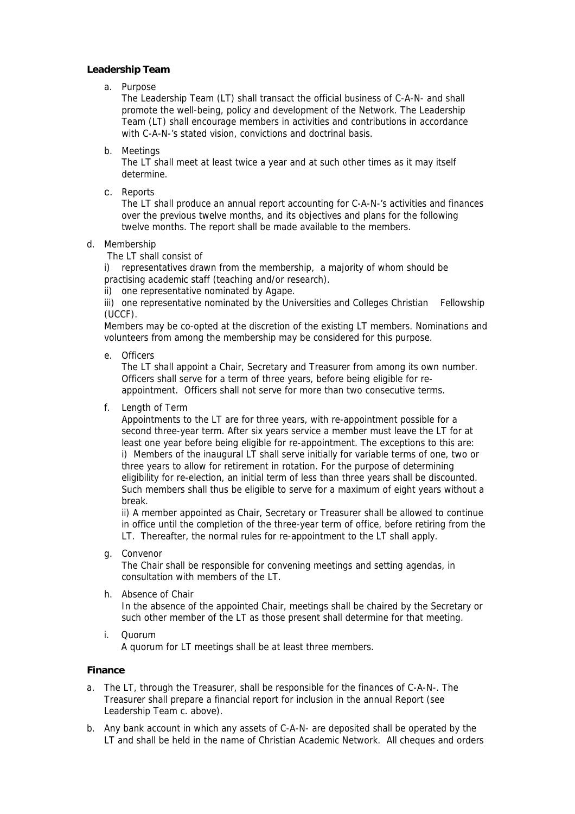# **Leadership Team**

a. Purpose

The Leadership Team (LT) shall transact the official business of C-A-N- and shall promote the well-being, policy and development of the Network. The Leadership Team (LT) shall encourage members in activities and contributions in accordance with C-A-N-'s stated vision, convictions and doctrinal basis.

b. Meetings

The LT shall meet at least twice a year and at such other times as it may itself determine.

c. Reports

The LT shall produce an annual report accounting for C-A-N-'s activities and finances over the previous twelve months, and its objectives and plans for the following twelve months. The report shall be made available to the members.

# d. Membership

The LT shall consist of

i) representatives drawn from the membership, a majority of whom should be practising academic staff (teaching and/or research).

ii) one representative nominated by Agape.

iii) one representative nominated by the Universities and Colleges Christian Fellowship (UCCF).

Members may be co-opted at the discretion of the existing LT members. Nominations and volunteers from among the membership may be considered for this purpose.

e. Officers

The LT shall appoint a Chair, Secretary and Treasurer from among its own number. Officers shall serve for a term of three years, before being eligible for reappointment. Officers shall not serve for more than two consecutive terms.

f. Length of Term

Appointments to the LT are for three years, with re-appointment possible for a second three-year term. After six years service a member must leave the LT for at least one year before being eligible for re-appointment. The exceptions to this are: i) Members of the inaugural LT shall serve initially for variable terms of one, two or three years to allow for retirement in rotation. For the purpose of determining eligibility for re-election, an initial term of less than three years shall be discounted. Such members shall thus be eligible to serve for a maximum of eight years without a break.

ii) A member appointed as Chair, Secretary or Treasurer shall be allowed to continue in office until the completion of the three-year term of office, before retiring from the LT. Thereafter, the normal rules for re-appointment to the LT shall apply.

g. Convenor

The Chair shall be responsible for convening meetings and setting agendas, in consultation with members of the LT.

h. Absence of Chair

In the absence of the appointed Chair, meetings shall be chaired by the Secretary or such other member of the LT as those present shall determine for that meeting.

i. Quorum

A quorum for LT meetings shall be at least three members.

# **Finance**

- a. The LT, through the Treasurer, shall be responsible for the finances of C-A-N-. The Treasurer shall prepare a financial report for inclusion in the annual Report (see Leadership Team c. above).
- b. Any bank account in which any assets of C-A-N- are deposited shall be operated by the LT and shall be held in the name of Christian Academic Network. All cheques and orders